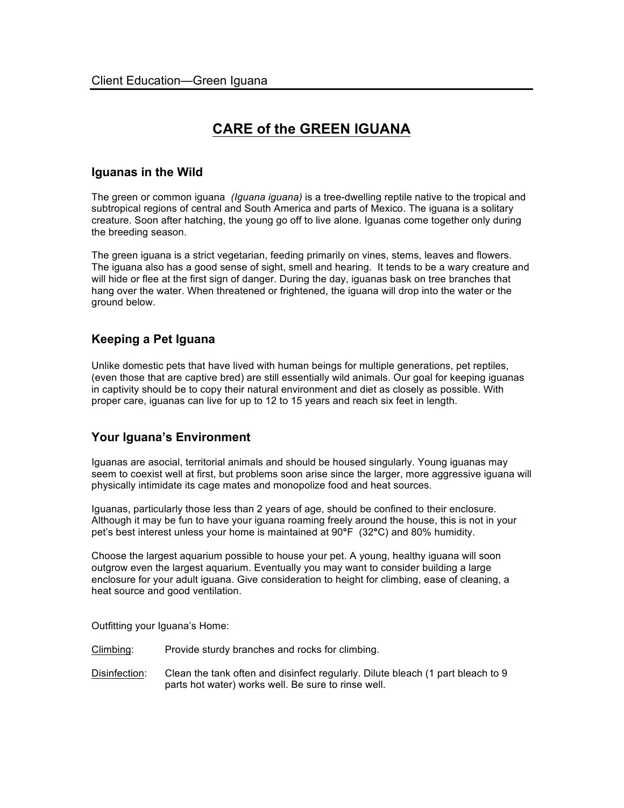# **CARE of the GREEN IGUANA**

## **Iguanas in the Wild**

The green or common iguana *(Iguana iguana)* is a tree-dwelling reptile native to the tropical and subtropical regions of central and South America and parts of Mexico. The iguana is a solitary creature. Soon after hatching, the young go off to live alone. Iguanas come together only during the breeding season.

The green iguana is a strict vegetarian, feeding primarily on vines, stems, leaves and flowers. The iguana also has a good sense of sight, smell and hearing. It tends to be a wary creature and will hide or flee at the first sign of danger. During the day, iguanas bask on tree branches that hang over the water. When threatened or frightened, the iguana will drop into the water or the ground below.

# **Keeping a Pet Iguana**

Unlike domestic pets that have lived with human beings for multiple generations, pet reptiles, (even those that are captive bred) are still essentially wild animals. Our goal for keeping iguanas in captivity should be to copy their natural environment and diet as closely as possible. With proper care, iguanas can live for up to 12 to 15 years and reach six feet in length.

# **Your Iguana's Environment**

Iguanas are asocial, territorial animals and should be housed singularly. Young iguanas may seem to coexist well at first, but problems soon arise since the larger, more aggressive iguana will physically intimidate its cage mates and monopolize food and heat sources.

Iguanas, particularly those less than 2 years of age, should be confined to their enclosure. Although it may be fun to have your iguana roaming freely around the house, this is not in your pet's best interest unless your home is maintained at 90**°**F (32**°**C) and 80% humidity.

Choose the largest aquarium possible to house your pet. A young, healthy iguana will soon outgrow even the largest aquarium. Eventually you may want to consider building a large enclosure for your adult iguana. Give consideration to height for climbing, ease of cleaning, a heat source and good ventilation.

Outfitting your Iguana's Home:

Climbing: Provide sturdy branches and rocks for climbing.

Disinfection: Clean the tank often and disinfect regularly. Dilute bleach (1 part bleach to 9 parts hot water) works well. Be sure to rinse well.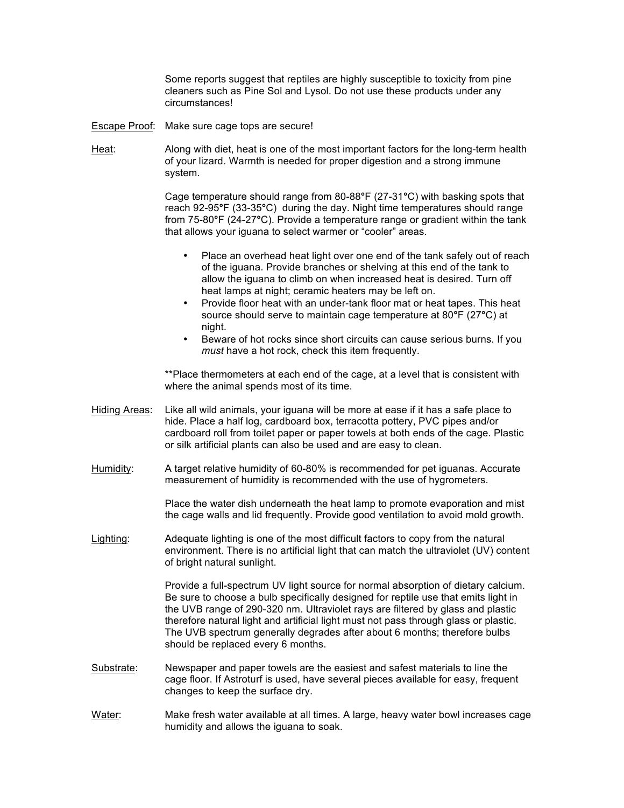Some reports suggest that reptiles are highly susceptible to toxicity from pine cleaners such as Pine Sol and Lysol. Do not use these products under any circumstances!

- Escape Proof: Make sure cage tops are secure!
- Heat: Along with diet, heat is one of the most important factors for the long-term health of your lizard. Warmth is needed for proper digestion and a strong immune system.

Cage temperature should range from 80-88**°**F (27-31**°**C) with basking spots that reach 92-95**°**F (33-35**°**C) during the day. Night time temperatures should range from 75-80**°**F (24-27**°**C). Provide a temperature range or gradient within the tank that allows your iguana to select warmer or "cooler" areas.

- Place an overhead heat light over one end of the tank safely out of reach of the iguana. Provide branches or shelving at this end of the tank to allow the iguana to climb on when increased heat is desired. Turn off heat lamps at night; ceramic heaters may be left on.
- Provide floor heat with an under-tank floor mat or heat tapes. This heat source should serve to maintain cage temperature at 80**°**F (27**°**C) at night.
- Beware of hot rocks since short circuits can cause serious burns. If you *must* have a hot rock, check this item frequently.

\*\*Place thermometers at each end of the cage, at a level that is consistent with where the animal spends most of its time.

- Hiding Areas: Like all wild animals, your iguana will be more at ease if it has a safe place to hide. Place a half log, cardboard box, terracotta pottery, PVC pipes and/or cardboard roll from toilet paper or paper towels at both ends of the cage. Plastic or silk artificial plants can also be used and are easy to clean.
- Humidity: A target relative humidity of 60-80% is recommended for pet iguanas. Accurate measurement of humidity is recommended with the use of hygrometers.

Place the water dish underneath the heat lamp to promote evaporation and mist the cage walls and lid frequently. Provide good ventilation to avoid mold growth.

Lighting: Adequate lighting is one of the most difficult factors to copy from the natural environment. There is no artificial light that can match the ultraviolet (UV) content of bright natural sunlight.

> Provide a full-spectrum UV light source for normal absorption of dietary calcium. Be sure to choose a bulb specifically designed for reptile use that emits light in the UVB range of 290-320 nm. Ultraviolet rays are filtered by glass and plastic therefore natural light and artificial light must not pass through glass or plastic. The UVB spectrum generally degrades after about 6 months; therefore bulbs should be replaced every 6 months.

- Substrate: Newspaper and paper towels are the easiest and safest materials to line the cage floor. If Astroturf is used, have several pieces available for easy, frequent changes to keep the surface dry.
- Water: Make fresh water available at all times. A large, heavy water bowl increases cage humidity and allows the iguana to soak.